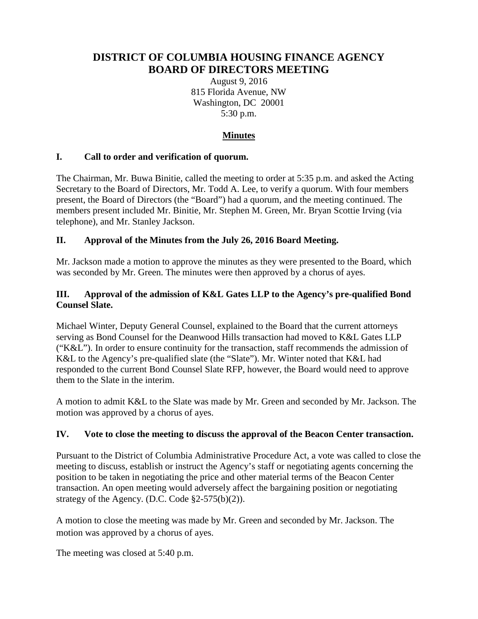# **DISTRICT OF COLUMBIA HOUSING FINANCE AGENCY BOARD OF DIRECTORS MEETING**

August 9, 2016 815 Florida Avenue, NW Washington, DC 20001 5:30 p.m.

# **Minutes**

### **I. Call to order and verification of quorum.**

The Chairman, Mr. Buwa Binitie, called the meeting to order at 5:35 p.m. and asked the Acting Secretary to the Board of Directors, Mr. Todd A. Lee, to verify a quorum. With four members present, the Board of Directors (the "Board") had a quorum, and the meeting continued. The members present included Mr. Binitie, Mr. Stephen M. Green, Mr. Bryan Scottie Irving (via telephone), and Mr. Stanley Jackson.

### **II. Approval of the Minutes from the July 26, 2016 Board Meeting.**

Mr. Jackson made a motion to approve the minutes as they were presented to the Board, which was seconded by Mr. Green. The minutes were then approved by a chorus of ayes.

### **III. Approval of the admission of K&L Gates LLP to the Agency's pre-qualified Bond Counsel Slate.**

Michael Winter, Deputy General Counsel, explained to the Board that the current attorneys serving as Bond Counsel for the Deanwood Hills transaction had moved to K&L Gates LLP ("K&L"). In order to ensure continuity for the transaction, staff recommends the admission of K&L to the Agency's pre-qualified slate (the "Slate"). Mr. Winter noted that K&L had responded to the current Bond Counsel Slate RFP, however, the Board would need to approve them to the Slate in the interim.

A motion to admit K&L to the Slate was made by Mr. Green and seconded by Mr. Jackson. The motion was approved by a chorus of ayes.

### **IV. Vote to close the meeting to discuss the approval of the Beacon Center transaction.**

Pursuant to the District of Columbia Administrative Procedure Act, a vote was called to close the meeting to discuss, establish or instruct the Agency's staff or negotiating agents concerning the position to be taken in negotiating the price and other material terms of the Beacon Center transaction. An open meeting would adversely affect the bargaining position or negotiating strategy of the Agency. (D.C. Code §2-575(b)(2)).

A motion to close the meeting was made by Mr. Green and seconded by Mr. Jackson. The motion was approved by a chorus of ayes.

The meeting was closed at 5:40 p.m.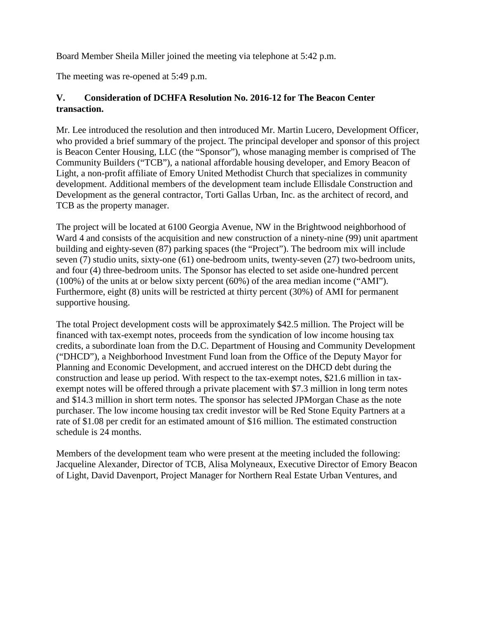Board Member Sheila Miller joined the meeting via telephone at 5:42 p.m.

The meeting was re-opened at 5:49 p.m.

## **V. Consideration of DCHFA Resolution No. 2016-12 for The Beacon Center transaction.**

Mr. Lee introduced the resolution and then introduced Mr. Martin Lucero, Development Officer, who provided a brief summary of the project. The principal developer and sponsor of this project is Beacon Center Housing, LLC (the "Sponsor"), whose managing member is comprised of The Community Builders ("TCB"), a national affordable housing developer, and Emory Beacon of Light, a non-profit affiliate of Emory United Methodist Church that specializes in community development. Additional members of the development team include Ellisdale Construction and Development as the general contractor, Torti Gallas Urban, Inc. as the architect of record, and TCB as the property manager.

The project will be located at 6100 Georgia Avenue, NW in the Brightwood neighborhood of Ward 4 and consists of the acquisition and new construction of a ninety-nine (99) unit apartment building and eighty-seven (87) parking spaces (the "Project"). The bedroom mix will include seven (7) studio units, sixty-one (61) one-bedroom units, twenty-seven (27) two-bedroom units, and four (4) three-bedroom units. The Sponsor has elected to set aside one-hundred percent (100%) of the units at or below sixty percent (60%) of the area median income ("AMI"). Furthermore, eight (8) units will be restricted at thirty percent (30%) of AMI for permanent supportive housing.

The total Project development costs will be approximately \$42.5 million. The Project will be financed with tax-exempt notes, proceeds from the syndication of low income housing tax credits, a subordinate loan from the D.C. Department of Housing and Community Development ("DHCD"), a Neighborhood Investment Fund loan from the Office of the Deputy Mayor for Planning and Economic Development, and accrued interest on the DHCD debt during the construction and lease up period. With respect to the tax-exempt notes, \$21.6 million in taxexempt notes will be offered through a private placement with \$7.3 million in long term notes and \$14.3 million in short term notes. The sponsor has selected JPMorgan Chase as the note purchaser. The low income housing tax credit investor will be Red Stone Equity Partners at a rate of \$1.08 per credit for an estimated amount of \$16 million. The estimated construction schedule is 24 months.

Members of the development team who were present at the meeting included the following: Jacqueline Alexander, Director of TCB, Alisa Molyneaux, Executive Director of Emory Beacon of Light, David Davenport, Project Manager for Northern Real Estate Urban Ventures, and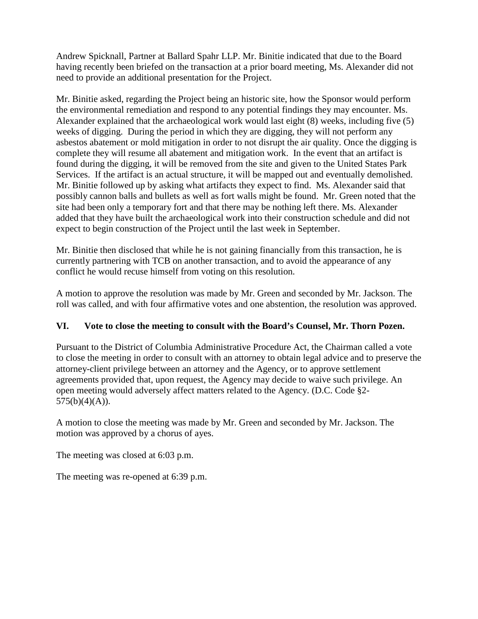Andrew Spicknall, Partner at Ballard Spahr LLP. Mr. Binitie indicated that due to the Board having recently been briefed on the transaction at a prior board meeting, Ms. Alexander did not need to provide an additional presentation for the Project.

Mr. Binitie asked, regarding the Project being an historic site, how the Sponsor would perform the environmental remediation and respond to any potential findings they may encounter. Ms. Alexander explained that the archaeological work would last eight (8) weeks, including five (5) weeks of digging. During the period in which they are digging, they will not perform any asbestos abatement or mold mitigation in order to not disrupt the air quality. Once the digging is complete they will resume all abatement and mitigation work. In the event that an artifact is found during the digging, it will be removed from the site and given to the United States Park Services. If the artifact is an actual structure, it will be mapped out and eventually demolished. Mr. Binitie followed up by asking what artifacts they expect to find. Ms. Alexander said that possibly cannon balls and bullets as well as fort walls might be found. Mr. Green noted that the site had been only a temporary fort and that there may be nothing left there. Ms. Alexander added that they have built the archaeological work into their construction schedule and did not expect to begin construction of the Project until the last week in September.

Mr. Binitie then disclosed that while he is not gaining financially from this transaction, he is currently partnering with TCB on another transaction, and to avoid the appearance of any conflict he would recuse himself from voting on this resolution.

A motion to approve the resolution was made by Mr. Green and seconded by Mr. Jackson. The roll was called, and with four affirmative votes and one abstention, the resolution was approved.

### **VI. Vote to close the meeting to consult with the Board's Counsel, Mr. Thorn Pozen.**

Pursuant to the District of Columbia Administrative Procedure Act, the Chairman called a vote to close the meeting in order to consult with an attorney to obtain legal advice and to preserve the attorney-client privilege between an attorney and the Agency, or to approve settlement agreements provided that, upon request, the Agency may decide to waive such privilege. An open meeting would adversely affect matters related to the Agency. (D.C. Code §2-  $575(b)(4)(A)).$ 

A motion to close the meeting was made by Mr. Green and seconded by Mr. Jackson. The motion was approved by a chorus of ayes.

The meeting was closed at 6:03 p.m.

The meeting was re-opened at 6:39 p.m.